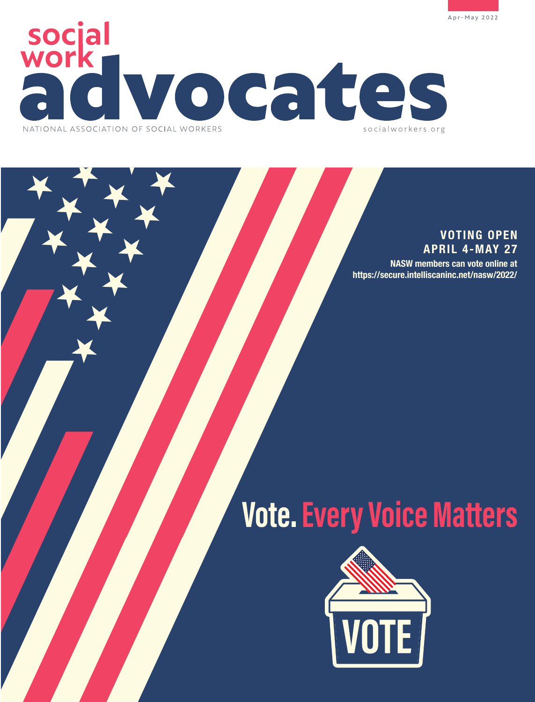



### **VOTING OPEN APRIL 4-MAY 27**

 **NASW members can vote online at <https://secure.intelliscaninc.net/nasw/2022/>**

# **Vote. Every Voice Matters**

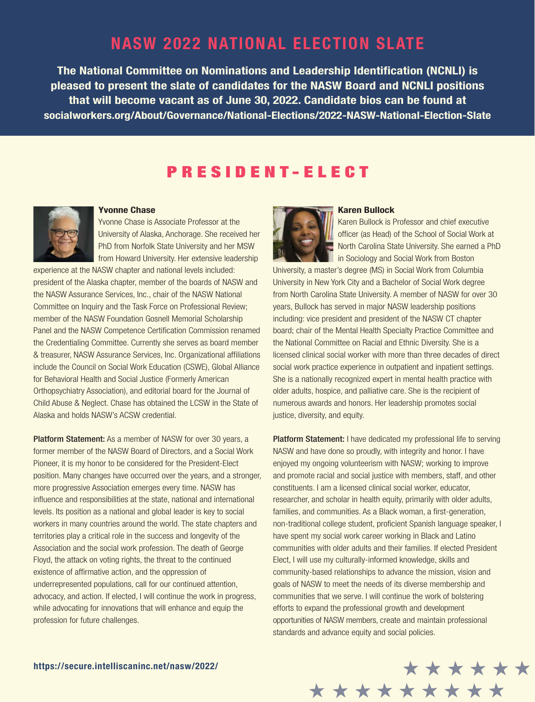### **NASW 2022 NATIONAL ELECTION SLATE**

**The National Committee on Nominations and Leadership Identification (NCNLI) is pleased to present the slate of candidates for the NASW Board and NCNLI positions that will become vacant as of June 30, 2022. Candidate bios can be found at [socialworkers.org/About/Governance/National-Elections/2022-NASW-National-Election-Slate](https://www.socialworkers.org/About/Governance/National-Elections/2022-NASW-National-Election-Slate)**

### PRESIDENT-ELECT



#### **Yvonne Chase**

Yvonne Chase is Associate Professor at the University of Alaska, Anchorage. She received her PhD from Norfolk State University and her MSW from Howard University. Her extensive leadership

experience at the NASW chapter and national levels included: president of the Alaska chapter, member of the boards of NASW and the NASW Assurance Services, Inc., chair of the NASW National Committee on Inquiry and the Task Force on Professional Review; member of the NASW Foundation Gosnell Memorial Scholarship Panel and the NASW Competence Certification Commission renamed the Credentialing Committee. Currently she serves as board member & treasurer, NASW Assurance Services, Inc. Organizational affiliations include the Council on Social Work Education (CSWE), Global Alliance for Behavioral Health and Social Justice (Formerly American Orthopsychiatry Association), and editorial board for the Journal of Child Abuse & Neglect. Chase has obtained the LCSW in the State of Alaska and holds NASW's ACSW credential.

Platform Statement: As a member of NASW for over 30 years, a former member of the NASW Board of Directors, and a Social Work Pioneer, it is my honor to be considered for the President-Elect position. Many changes have occurred over the years, and a stronger, more progressive Association emerges every time. NASW has influence and responsibilities at the state, national and international levels. Its position as a national and global leader is key to social workers in many countries around the world. The state chapters and territories play a critical role in the success and longevity of the Association and the social work profession. The death of George Floyd, the attack on voting rights, the threat to the continued existence of affirmative action, and the oppression of underrepresented populations, call for our continued attention, advocacy, and action. If elected, I will continue the work in progress, while advocating for innovations that will enhance and equip the profession for future challenges.



#### **Karen Bullock**

Karen Bullock is Professor and chief executive officer (as Head) of the School of Social Work at North Carolina State University. She earned a PhD in Sociology and Social Work from Boston

University, a master's degree (MS) in Social Work from Columbia University in New York City and a Bachelor of Social Work degree from North Carolina State University. A member of NASW for over 30 years, Bullock has served in major NASW leadership positions including: vice president and president of the NASW CT chapter board; chair of the Mental Health Specialty Practice Committee and the National Committee on Racial and Ethnic Diversity. She is a licensed clinical social worker with more than three decades of direct social work practice experience in outpatient and inpatient settings. She is a nationally recognized expert in mental health practice with older adults, hospice, and palliative care. She is the recipient of numerous awards and honors. Her leadership promotes social justice, diversity, and equity.

Platform Statement: I have dedicated my professional life to serving NASW and have done so proudly, with integrity and honor. I have enjoyed my ongoing volunteerism with NASW; working to improve and promote racial and social justice with members, staff, and other constituents. I am a licensed clinical social worker, educator, researcher, and scholar in health equity, primarily with older adults, families, and communities. As a Black woman, a first-generation, non-traditional college student, proficient Spanish language speaker, I have spent my social work career working in Black and Latino communities with older adults and their families. If elected President Elect, I will use my culturally-informed knowledge, skills and community-based relationships to advance the mission, vision and goals of NASW to meet the needs of its diverse membership and communities that we serve. I will continue the work of bolstering efforts to expand the professional growth and development opportunities of NASW members, create and maintain professional standards and advance equity and social policies.

\*\*\*\*\*\*\*\*\*

\*\*\*\*\*\*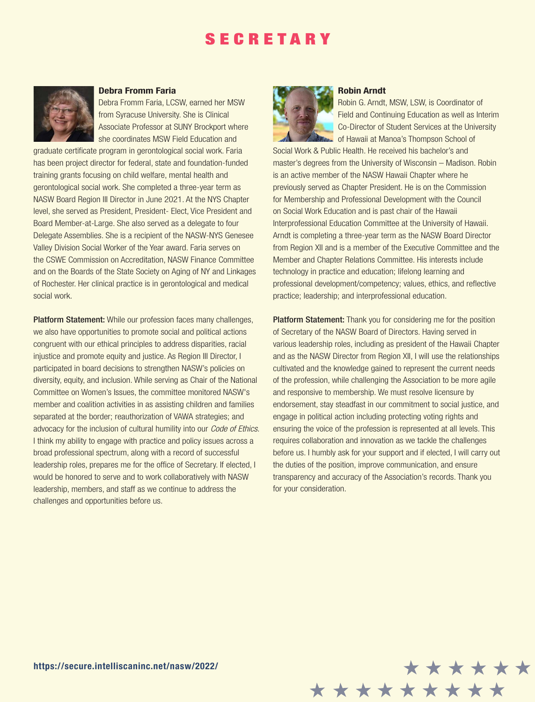### **SECRETARY**



#### **Debra Fromm Faria**

Debra Fromm Faria, LCSW, earned her MSW from Syracuse University. She is Clinical Associate Professor at SUNY Brockport where she coordinates MSW Field Education and

graduate certificate program in gerontological social work. Faria has been project director for federal, state and foundation-funded training grants focusing on child welfare, mental health and gerontological social work. She completed a three-year term as NASW Board Region III Director in June 2021. At the NYS Chapter level, she served as President, President- Elect, Vice President and Board Member-at-Large. She also served as a delegate to four Delegate Assemblies. She is a recipient of the NASW-NYS Genesee Valley Division Social Worker of the Year award. Faria serves on the CSWE Commission on Accreditation, NASW Finance Committee and on the Boards of the State Society on Aging of NY and Linkages of Rochester. Her clinical practice is in gerontological and medical social work.

Platform Statement: While our profession faces many challenges, we also have opportunities to promote social and political actions congruent with our ethical principles to address disparities, racial injustice and promote equity and justice. As Region III Director, I participated in board decisions to strengthen NASW's policies on diversity, equity, and inclusion. While serving as Chair of the National Committee on Women's Issues, the committee monitored NASW's member and coalition activities in as assisting children and families separated at the border; reauthorization of VAWA strategies; and advocacy for the inclusion of cultural humility into our *Code of Ethics*. I think my ability to engage with practice and policy issues across a broad professional spectrum, along with a record of successful leadership roles, prepares me for the office of Secretary. If elected, I would be honored to serve and to work collaboratively with NASW leadership, members, and staff as we continue to address the challenges and opportunities before us.



#### **Robin Arndt**

Robin G. Arndt, MSW, LSW, is Coordinator of Field and Continuing Education as well as Interim Co-Director of Student Services at the University **Example 15 Of Hawaii at Manoa's Thompson School of** 

Social Work & Public Health. He received his bachelor's and master's degrees from the University of Wisconsin – Madison. Robin is an active member of the NASW Hawaii Chapter where he previously served as Chapter President. He is on the Commission for Membership and Professional Development with the Council on Social Work Education and is past chair of the Hawaii Interprofessional Education Committee at the University of Hawaii. Arndt is completing a three-year term as the NASW Board Director from Region XII and is a member of the Executive Committee and the Member and Chapter Relations Committee. His interests include technology in practice and education; lifelong learning and professional development/competency; values, ethics, and reflective practice; leadership; and interprofessional education.

**Platform Statement:** Thank you for considering me for the position of Secretary of the NASW Board of Directors. Having served in various leadership roles, including as president of the Hawaii Chapter and as the NASW Director from Region XII, I will use the relationships cultivated and the knowledge gained to represent the current needs of the profession, while challenging the Association to be more agile and responsive to membership. We must resolve licensure by endorsement, stay steadfast in our commitment to social justice, and engage in political action including protecting voting rights and ensuring the voice of the profession is represented at all levels. This requires collaboration and innovation as we tackle the challenges before us. I humbly ask for your support and if elected, I will carry out the duties of the position, improve communication, and ensure transparency and accuracy of the Association's records. Thank you for your consideration.

\*\*\*\*\*\*

\*\*\*\*\*\*\*\*\*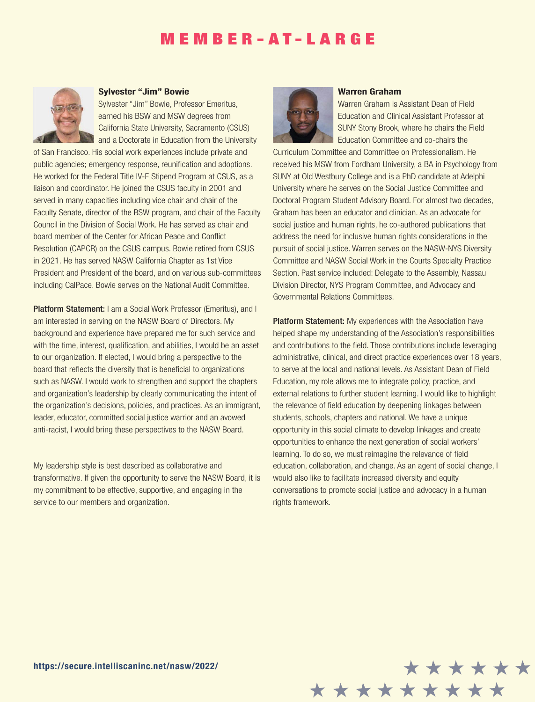### MEMBER-AT-LARGE



#### **Sylvester "Jim" Bowie**

Sylvester "Jim" Bowie, Professor Emeritus, earned his BSW and MSW degrees from California State University, Sacramento (CSUS) and a Doctorate in Education from the University

of San Francisco. His social work experiences include private and public agencies; emergency response, reunification and adoptions. He worked for the Federal Title IV-E Stipend Program at CSUS, as a liaison and coordinator. He joined the CSUS faculty in 2001 and served in many capacities including vice chair and chair of the Faculty Senate, director of the BSW program, and chair of the Faculty Council in the Division of Social Work. He has served as chair and board member of the Center for African Peace and Conflict Resolution (CAPCR) on the CSUS campus. Bowie retired from CSUS in 2021. He has served NASW California Chapter as 1st Vice President and President of the board, and on various sub-committees including CalPace. Bowie serves on the National Audit Committee.

Platform Statement: I am a Social Work Professor (Emeritus), and I am interested in serving on the NASW Board of Directors. My background and experience have prepared me for such service and with the time, interest, qualification, and abilities, I would be an asset to our organization. If elected, I would bring a perspective to the board that reflects the diversity that is beneficial to organizations such as NASW. I would work to strengthen and support the chapters and organization's leadership by clearly communicating the intent of the organization's decisions, policies, and practices. As an immigrant, leader, educator, committed social justice warrior and an avowed anti-racist, I would bring these perspectives to the NASW Board.

My leadership style is best described as collaborative and transformative. If given the opportunity to serve the NASW Board, it is my commitment to be effective, supportive, and engaging in the service to our members and organization.



#### **Warren Graham**

Warren Graham is Assistant Dean of Field Education and Clinical Assistant Professor at SUNY Stony Brook, where he chairs the Field Education Committee and co-chairs the

Curriculum Committee and Committee on Professionalism. He received his MSW from Fordham University, a BA in Psychology from SUNY at Old Westbury College and is a PhD candidate at Adelphi University where he serves on the Social Justice Committee and Doctoral Program Student Advisory Board. For almost two decades, Graham has been an educator and clinician. As an advocate for social justice and human rights, he co-authored publications that address the need for inclusive human rights considerations in the pursuit of social justice. Warren serves on the NASW-NYS Diversity Committee and NASW Social Work in the Courts Specialty Practice Section. Past service included: Delegate to the Assembly, Nassau Division Director, NYS Program Committee, and Advocacy and Governmental Relations Committees.

Platform Statement: My experiences with the Association have helped shape my understanding of the Association's responsibilities and contributions to the field. Those contributions include leveraging administrative, clinical, and direct practice experiences over 18 years, to serve at the local and national levels. As Assistant Dean of Field Education, my role allows me to integrate policy, practice, and external relations to further student learning. I would like to highlight the relevance of field education by deepening linkages between students, schools, chapters and national. We have a unique opportunity in this social climate to develop linkages and create opportunities to enhance the next generation of social workers' learning. To do so, we must reimagine the relevance of field education, collaboration, and change. As an agent of social change, I would also like to facilitate increased diversity and equity conversations to promote social justice and advocacy in a human rights framework.

\*\*\*\*\*\*

\*\*\*\*\*\*\*\*\*

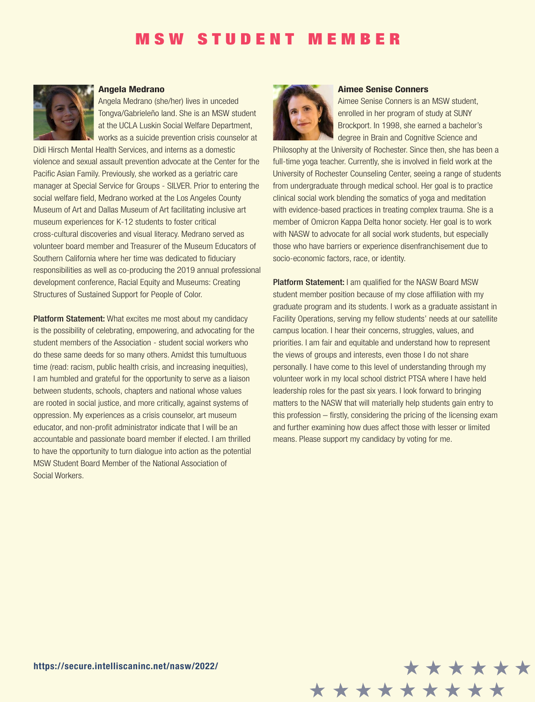### MSW STUDENT MEMBER



#### **Angela Medrano**

Angela Medrano (she/her) lives in unceded Tongva/Gabrieleño land. She is an MSW student at the UCLA Luskin Social Welfare Department, works as a suicide prevention crisis counselor at

Didi Hirsch Mental Health Services, and interns as a domestic violence and sexual assault prevention advocate at the Center for the Pacific Asian Family. Previously, she worked as a geriatric care manager at Special Service for Groups - SILVER. Prior to entering the social welfare field, Medrano worked at the Los Angeles County Museum of Art and Dallas Museum of Art facilitating inclusive art museum experiences for K-12 students to foster critical cross-cultural discoveries and visual literacy. Medrano served as volunteer board member and Treasurer of the Museum Educators of Southern California where her time was dedicated to fiduciary responsibilities as well as co-producing the 2019 annual professional development conference, Racial Equity and Museums: Creating Structures of Sustained Support for People of Color.

Platform Statement: What excites me most about my candidacy is the possibility of celebrating, empowering, and advocating for the student members of the Association - student social workers who do these same deeds for so many others. Amidst this tumultuous time (read: racism, public health crisis, and increasing inequities), I am humbled and grateful for the opportunity to serve as a liaison between students, schools, chapters and national whose values are rooted in social justice, and more critically, against systems of oppression. My experiences as a crisis counselor, art museum educator, and non-profit administrator indicate that I will be an accountable and passionate board member if elected. I am thrilled to have the opportunity to turn dialogue into action as the potential MSW Student Board Member of the National Association of Social Workers.



#### **Aimee Senise Conners**

Aimee Senise Conners is an MSW student, enrolled in her program of study at SUNY Brockport. In 1998, she earned a bachelor's degree in Brain and Cognitive Science and

Philosophy at the University of Rochester. Since then, she has been a full-time yoga teacher. Currently, she is involved in field work at the University of Rochester Counseling Center, seeing a range of students from undergraduate through medical school. Her goal is to practice clinical social work blending the somatics of yoga and meditation with evidence-based practices in treating complex trauma. She is a member of Omicron Kappa Delta honor society. Her goal is to work with NASW to advocate for all social work students, but especially those who have barriers or experience disenfranchisement due to socio-economic factors, race, or identity.

Platform Statement: I am qualified for the NASW Board MSW student member position because of my close affiliation with my graduate program and its students. I work as a graduate assistant in Facility Operations, serving my fellow students' needs at our satellite campus location. I hear their concerns, struggles, values, and priorities. I am fair and equitable and understand how to represent the views of groups and interests, even those I do not share personally. I have come to this level of understanding through my volunteer work in my local school district PTSA where I have held leadership roles for the past six years. I look forward to bringing matters to the NASW that will materially help students gain entry to this profession – firstly, considering the pricing of the licensing exam and further examining how dues affect those with lesser or limited means. Please support my candidacy by voting for me.

\*\*\*\*\*\*

\*\*\*\*\*\*\*\*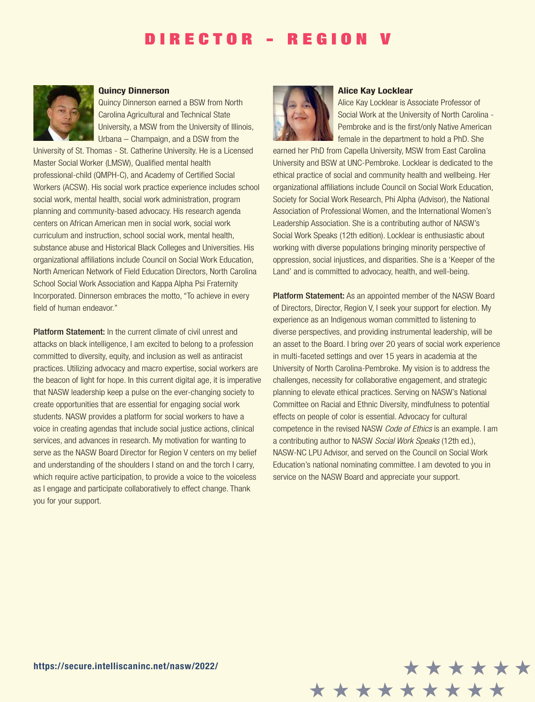### DIRECTOR - REGION



#### **Quincy Dinnerson**

Quincy Dinnerson earned a BSW from North Carolina Agricultural and Technical State University, a MSW from the University of Illinois, Urbana – Champaign, and a DSW from the

University of St. Thomas - St. Catherine University. He is a Licensed Master Social Worker (LMSW), Qualified mental health professional-child (QMPH-C), and Academy of Certified Social Workers (ACSW). His social work practice experience includes school social work, mental health, social work administration, program planning and community-based advocacy. His research agenda centers on African American men in social work, social work curriculum and instruction, school social work, mental health, substance abuse and Historical Black Colleges and Universities. His organizational affiliations include Council on Social Work Education, North American Network of Field Education Directors, North Carolina School Social Work Association and Kappa Alpha Psi Fraternity Incorporated. Dinnerson embraces the motto, "To achieve in every field of human endeavor."

Platform Statement: In the current climate of civil unrest and attacks on black intelligence, I am excited to belong to a profession committed to diversity, equity, and inclusion as well as antiracist practices. Utilizing advocacy and macro expertise, social workers are the beacon of light for hope. In this current digital age, it is imperative that NASW leadership keep a pulse on the ever-changing society to create opportunities that are essential for engaging social work students. NASW provides a platform for social workers to have a voice in creating agendas that include social justice actions, clinical services, and advances in research. My motivation for wanting to serve as the NASW Board Director for Region V centers on my belief and understanding of the shoulders I stand on and the torch I carry, which require active participation, to provide a voice to the voiceless as I engage and participate collaboratively to effect change. Thank you for your support.



#### **Alice Kay Locklear**

Alice Kay Locklear is Associate Professor of Social Work at the University of North Carolina - Pembroke and is the first/only Native American female in the department to hold a PhD. She

earned her PhD from Capella University, MSW from East Carolina University and BSW at UNC-Pembroke. Locklear is dedicated to the ethical practice of social and community health and wellbeing. Her organizational affiliations include Council on Social Work Education, Society for Social Work Research, Phi Alpha (Advisor), the National Association of Professional Women, and the International Women's Leadership Association. She is a contributing author of NASW's Social Work Speaks (12th edition). Locklear is enthusiastic about working with diverse populations bringing minority perspective of oppression, social injustices, and disparities. She is a 'Keeper of the Land' and is committed to advocacy, health, and well-being.

Platform Statement: As an appointed member of the NASW Board of Directors, Director, Region V, I seek your support for election. My experience as an Indigenous woman committed to listening to diverse perspectives, and providing instrumental leadership, will be an asset to the Board. I bring over 20 years of social work experience in multi-faceted settings and over 15 years in academia at the University of North Carolina-Pembroke. My vision is to address the challenges, necessity for collaborative engagement, and strategic planning to elevate ethical practices. Serving on NASW's National Committee on Racial and Ethnic Diversity, mindfulness to potential effects on people of color is essential. Advocacy for cultural competence in the revised NASW Code of Ethics is an example. I am a contributing author to NASW Social Work Speaks (12th ed.), NASW-NC LPU Advisor, and served on the Council on Social Work Education's national nominating committee. I am devoted to you in service on the NASW Board and appreciate your support.

\*\*\*\*\*\*

\*\*\*\*\*\*\*\*\*

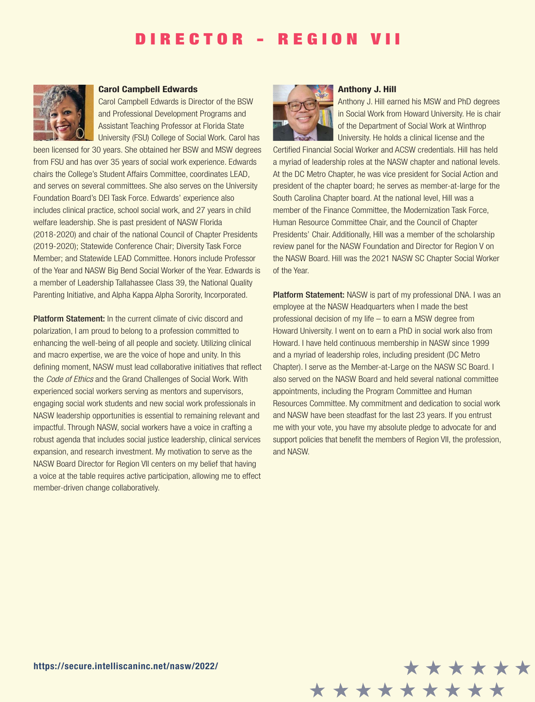### DIRECTOR - REGION VII



#### **Carol Campbell Edwards**

Carol Campbell Edwards is Director of the BSW and Professional Development Programs and Assistant Teaching Professor at Florida State University (FSU) College of Social Work. Carol has

been licensed for 30 years. She obtained her BSW and MSW degrees from FSU and has over 35 years of social work experience. Edwards chairs the College's Student Affairs Committee, coordinates LEAD, and serves on several committees. She also serves on the University Foundation Board's DEI Task Force. Edwards' experience also includes clinical practice, school social work, and 27 years in child welfare leadership. She is past president of NASW Florida (2018-2020) and chair of the national Council of Chapter Presidents (2019-2020); Statewide Conference Chair; Diversity Task Force Member; and Statewide LEAD Committee. Honors include Professor of the Year and NASW Big Bend Social Worker of the Year. Edwards is a member of Leadership Tallahassee Class 39, the National Quality Parenting Initiative, and Alpha Kappa Alpha Sorority, Incorporated.

Platform Statement: In the current climate of civic discord and polarization, I am proud to belong to a profession committed to enhancing the well-being of all people and society. Utilizing clinical and macro expertise, we are the voice of hope and unity. In this defining moment, NASW must lead collaborative initiatives that reflect the Code of Ethics and the Grand Challenges of Social Work. With experienced social workers serving as mentors and supervisors, engaging social work students and new social work professionals in NASW leadership opportunities is essential to remaining relevant and impactful. Through NASW, social workers have a voice in crafting a robust agenda that includes social justice leadership, clinical services expansion, and research investment. My motivation to serve as the NASW Board Director for Region VII centers on my belief that having a voice at the table requires active participation, allowing me to effect member-driven change collaboratively.



#### **Anthony J. Hill**

Anthony J. Hill earned his MSW and PhD degrees in Social Work from Howard University. He is chair of the Department of Social Work at Winthrop University. He holds a clinical license and the

Certified Financial Social Worker and ACSW credentials. Hill has held a myriad of leadership roles at the NASW chapter and national levels. At the DC Metro Chapter, he was vice president for Social Action and president of the chapter board; he serves as member-at-large for the South Carolina Chapter board. At the national level, Hill was a member of the Finance Committee, the Modernization Task Force, Human Resource Committee Chair, and the Council of Chapter Presidents' Chair. Additionally, Hill was a member of the scholarship review panel for the NASW Foundation and Director for Region V on the NASW Board. Hill was the 2021 NASW SC Chapter Social Worker of the Year.

Platform Statement: NASW is part of my professional DNA. I was an employee at the NASW Headquarters when I made the best professional decision of my life – to earn a MSW degree from Howard University. I went on to earn a PhD in social work also from Howard. I have held continuous membership in NASW since 1999 and a myriad of leadership roles, including president (DC Metro Chapter). I serve as the Member-at-Large on the NASW SC Board. I also served on the NASW Board and held several national committee appointments, including the Program Committee and Human Resources Committee. My commitment and dedication to social work and NASW have been steadfast for the last 23 years. If you entrust me with your vote, you have my absolute pledge to advocate for and support policies that benefit the members of Region VII, the profession, and NASW.

\*\*\*\*\*\*\*\*

\*\*\*\*\*\*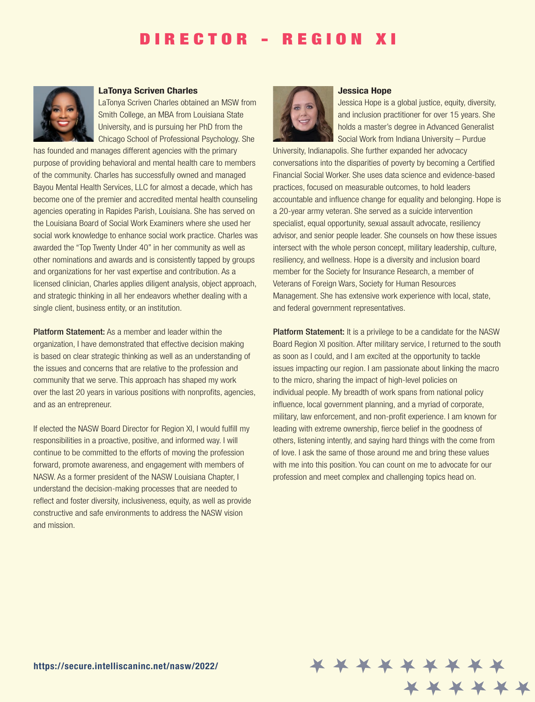## DIRECTOR - REGION XI



#### **LaTonya Scriven Charles**

LaTonya Scriven Charles obtained an MSW from Smith College, an MBA from Louisiana State University, and is pursuing her PhD from the Chicago School of Professional Psychology. She

has founded and manages different agencies with the primary purpose of providing behavioral and mental health care to members of the community. Charles has successfully owned and managed Bayou Mental Health Services, LLC for almost a decade, which has become one of the premier and accredited mental health counseling agencies operating in Rapides Parish, Louisiana. She has served on the Louisiana Board of Social Work Examiners where she used her social work knowledge to enhance social work practice. Charles was awarded the "Top Twenty Under 40" in her community as well as other nominations and awards and is consistently tapped by groups and organizations for her vast expertise and contribution. As a licensed clinician, Charles applies diligent analysis, object approach, and strategic thinking in all her endeavors whether dealing with a single client, business entity, or an institution.

Platform Statement: As a member and leader within the organization, I have demonstrated that effective decision making is based on clear strategic thinking as well as an understanding of the issues and concerns that are relative to the profession and community that we serve. This approach has shaped my work over the last 20 years in various positions with nonprofits, agencies, and as an entrepreneur.

If elected the NASW Board Director for Region XI, I would fulfill my responsibilities in a proactive, positive, and informed way. I will continue to be committed to the efforts of moving the profession forward, promote awareness, and engagement with members of NASW. As a former president of the NASW Louisiana Chapter, I understand the decision-making processes that are needed to reflect and foster diversity, inclusiveness, equity, as well as provide constructive and safe environments to address the NASW vision and mission.



#### **Jessica Hope**

Jessica Hope is a global justice, equity, diversity, and inclusion practitioner for over 15 years. She holds a master's degree in Advanced Generalist Social Work from Indiana University – Purdue

University, Indianapolis. She further expanded her advocacy conversations into the disparities of poverty by becoming a Certified Financial Social Worker. She uses data science and evidence-based practices, focused on measurable outcomes, to hold leaders accountable and influence change for equality and belonging. Hope is a 20-year army veteran. She served as a suicide intervention specialist, equal opportunity, sexual assault advocate, resiliency advisor, and senior people leader. She counsels on how these issues intersect with the whole person concept, military leadership, culture, resiliency, and wellness. Hope is a diversity and inclusion board member for the Society for Insurance Research, a member of Veterans of Foreign Wars, Society for Human Resources Management. She has extensive work experience with local, state, and federal government representatives.

**Platform Statement:** It is a privilege to be a candidate for the NASW Board Region XI position. After military service, I returned to the south as soon as I could, and I am excited at the opportunity to tackle issues impacting our region. I am passionate about linking the macro to the micro, sharing the impact of high-level policies on individual people. My breadth of work spans from national policy influence, local government planning, and a myriad of corporate, military, law enforcement, and non-profit experience. I am known for leading with extreme ownership, fierce belief in the goodness of others, listening intently, and saying hard things with the come from of love. I ask the same of those around me and bring these values with me into this position. You can count on me to advocate for our profession and meet complex and challenging topics head on.

\* \* \* \* \*

x x x x x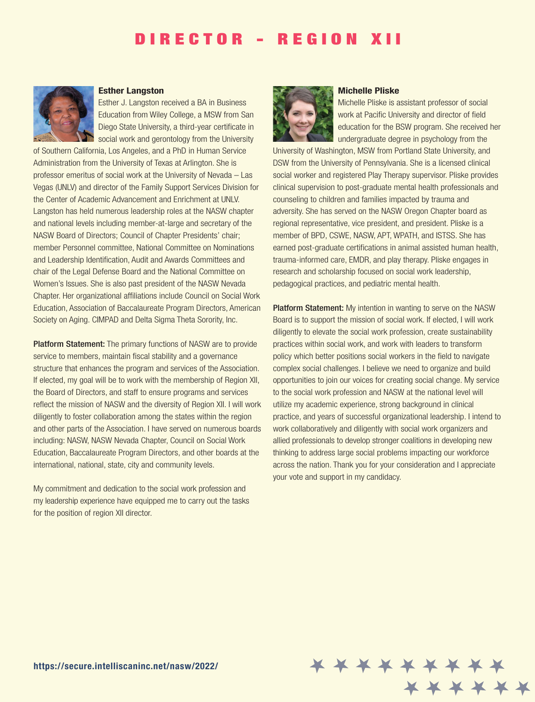### DIRECTOR - REGION XII



#### **Esther Langston**

Esther J. Langston received a BA in Business Education from Wiley College, a MSW from San Diego State University, a third-year certificate in social work and gerontology from the University

of Southern California, Los Angeles, and a PhD in Human Service Administration from the University of Texas at Arlington. She is professor emeritus of social work at the University of Nevada – Las Vegas (UNLV) and director of the Family Support Services Division for the Center of Academic Advancement and Enrichment at UNLV. Langston has held numerous leadership roles at the NASW chapter and national levels including member-at-large and secretary of the NASW Board of Directors; Council of Chapter Presidents' chair; member Personnel committee, National Committee on Nominations and Leadership Identification, Audit and Awards Committees and chair of the Legal Defense Board and the National Committee on Women's Issues. She is also past president of the NASW Nevada Chapter. Her organizational affiliations include Council on Social Work Education, Association of Baccalaureate Program Directors, American Society on Aging. CIMPAD and Delta Sigma Theta Sorority, Inc.

Platform Statement: The primary functions of NASW are to provide service to members, maintain fiscal stability and a governance structure that enhances the program and services of the Association. If elected, my goal will be to work with the membership of Region XII, the Board of Directors, and staff to ensure programs and services reflect the mission of NASW and the diversity of Region XII. I will work diligently to foster collaboration among the states within the region and other parts of the Association. I have served on numerous boards including: NASW, NASW Nevada Chapter, Council on Social Work Education, Baccalaureate Program Directors, and other boards at the international, national, state, city and community levels.

My commitment and dedication to the social work profession and my leadership experience have equipped me to carry out the tasks for the position of region XII director.



#### **Michelle Pliske**

Michelle Pliske is assistant professor of social work at Pacific University and director of field education for the BSW program. She received her undergraduate degree in psychology from the

University of Washington, MSW from Portland State University, and DSW from the University of Pennsylvania. She is a licensed clinical social worker and registered Play Therapy supervisor. Pliske provides clinical supervision to post-graduate mental health professionals and counseling to children and families impacted by trauma and adversity. She has served on the NASW Oregon Chapter board as regional representative, vice president, and president. Pliske is a member of BPD, CSWE, NASW, APT, WPATH, and ISTSS. She has earned post-graduate certifications in animal assisted human health, trauma-informed care, EMDR, and play therapy. Pliske engages in research and scholarship focused on social work leadership, pedagogical practices, and pediatric mental health.

Platform Statement: My intention in wanting to serve on the NASW Board is to support the mission of social work. If elected, I will work diligently to elevate the social work profession, create sustainability practices within social work, and work with leaders to transform policy which better positions social workers in the field to navigate complex social challenges. I believe we need to organize and build opportunities to join our voices for creating social change. My service to the social work profession and NASW at the national level will utilize my academic experience, strong background in clinical practice, and years of successful organizational leadership. I intend to work collaboratively and diligently with social work organizers and allied professionals to develop stronger coalitions in developing new thinking to address large social problems impacting our workforce across the nation. Thank you for your consideration and I appreciate your vote and support in my candidacy.

\* \* \* \* \*

x x x x x